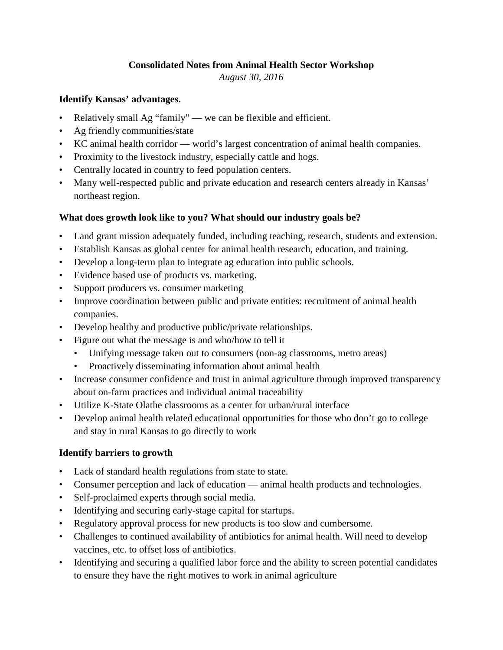### **Consolidated Notes from Animal Health Sector Workshop**

*August 30, 2016*

#### **Identify Kansas' advantages.**

- Relatively small Ag "family" we can be flexible and efficient.
- Ag friendly communities/state
- KC animal health corridor world's largest concentration of animal health companies.
- Proximity to the livestock industry, especially cattle and hogs.
- Centrally located in country to feed population centers.
- Many well-respected public and private education and research centers already in Kansas' northeast region.

## **What does growth look like to you? What should our industry goals be?**

- Land grant mission adequately funded, including teaching, research, students and extension.
- Establish Kansas as global center for animal health research, education, and training.
- Develop a long-term plan to integrate ag education into public schools.
- Evidence based use of products vs. marketing.
- Support producers vs. consumer marketing
- Improve coordination between public and private entities: recruitment of animal health companies.
- Develop healthy and productive public/private relationships.
- Figure out what the message is and who/how to tell it
	- Unifying message taken out to consumers (non-ag classrooms, metro areas)
	- Proactively disseminating information about animal health
- Increase consumer confidence and trust in animal agriculture through improved transparency about on-farm practices and individual animal traceability
- Utilize K-State Olathe classrooms as a center for urban/rural interface
- Develop animal health related educational opportunities for those who don't go to college and stay in rural Kansas to go directly to work

#### **Identify barriers to growth**

- Lack of standard health regulations from state to state.
- Consumer perception and lack of education animal health products and technologies.
- Self-proclaimed experts through social media.
- Identifying and securing early-stage capital for startups.
- Regulatory approval process for new products is too slow and cumbersome.
- Challenges to continued availability of antibiotics for animal health. Will need to develop vaccines, etc. to offset loss of antibiotics.
- Identifying and securing a qualified labor force and the ability to screen potential candidates to ensure they have the right motives to work in animal agriculture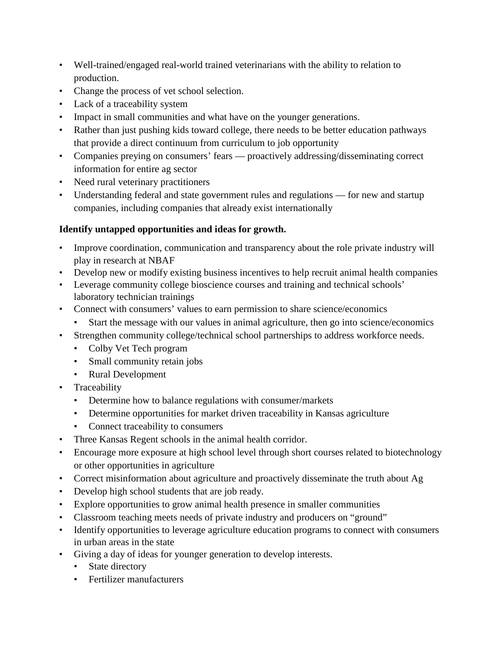- Well-trained/engaged real-world trained veterinarians with the ability to relation to production.
- Change the process of vet school selection.
- Lack of a traceability system
- Impact in small communities and what have on the younger generations.
- Rather than just pushing kids toward college, there needs to be better education pathways that provide a direct continuum from curriculum to job opportunity
- Companies preying on consumers' fears proactively addressing/disseminating correct information for entire ag sector
- Need rural veterinary practitioners
- Understanding federal and state government rules and regulations for new and startup companies, including companies that already exist internationally

# **Identify untapped opportunities and ideas for growth.**

- Improve coordination, communication and transparency about the role private industry will play in research at NBAF
- Develop new or modify existing business incentives to help recruit animal health companies
- Leverage community college bioscience courses and training and technical schools' laboratory technician trainings
- Connect with consumers' values to earn permission to share science/economics
- Start the message with our values in animal agriculture, then go into science/economics
- Strengthen community college/technical school partnerships to address workforce needs.
	- Colby Vet Tech program
	- Small community retain jobs
	- Rural Development
- Traceability
	- Determine how to balance regulations with consumer/markets
	- Determine opportunities for market driven traceability in Kansas agriculture
	- Connect traceability to consumers
- Three Kansas Regent schools in the animal health corridor.
- Encourage more exposure at high school level through short courses related to biotechnology or other opportunities in agriculture
- Correct misinformation about agriculture and proactively disseminate the truth about Ag
- Develop high school students that are job ready.
- Explore opportunities to grow animal health presence in smaller communities
- Classroom teaching meets needs of private industry and producers on "ground"
- Identify opportunities to leverage agriculture education programs to connect with consumers in urban areas in the state
- Giving a day of ideas for younger generation to develop interests.
	- State directory
	- Fertilizer manufacturers